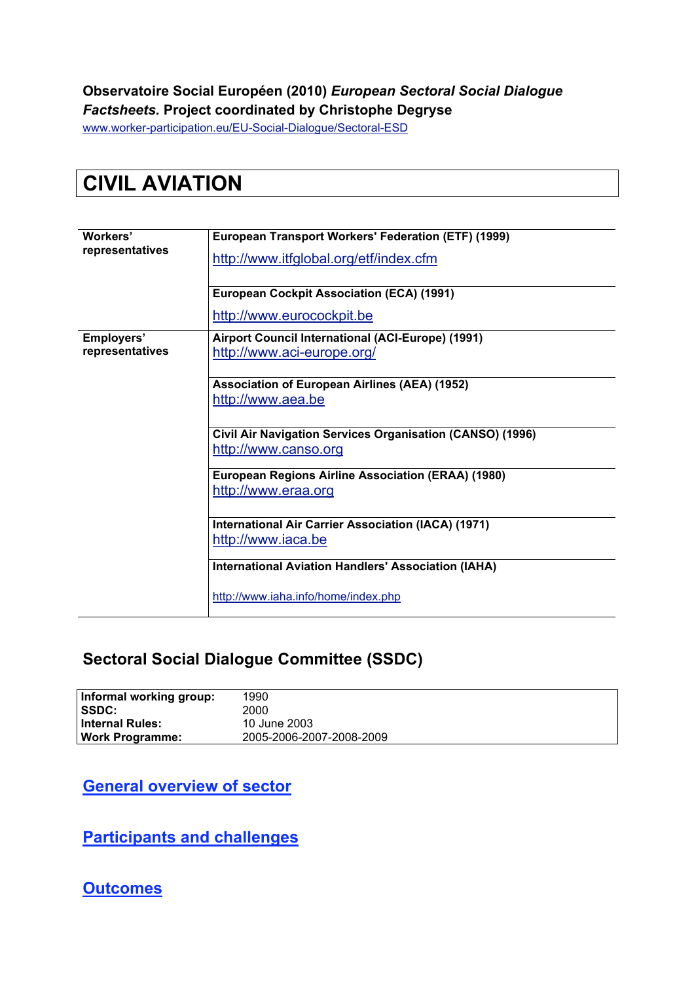#### **Observatoire Social Européen (2010)** *European Sectoral Social Dialogue Factsheets.* **Project coordinated by Christophe Degryse**

www.worker-participation.eu/EU-Social-Dialogue/Sectoral-ESD

# **CIVIL AVIATION**

| Workers'                      | European Transport Workers' Federation (ETF) (1999)                               |  |  |  |  |
|-------------------------------|-----------------------------------------------------------------------------------|--|--|--|--|
| representatives               | http://www.itfglobal.org/etf/index.cfm                                            |  |  |  |  |
|                               | <b>European Cockpit Association (ECA) (1991)</b>                                  |  |  |  |  |
|                               | http://www.eurocockpit.be                                                         |  |  |  |  |
| Employers'<br>representatives | Airport Council International (ACI-Europe) (1991)<br>http://www.aci-europe.org/   |  |  |  |  |
|                               | <b>Association of European Airlines (AEA) (1952)</b><br>http://www.aea.be         |  |  |  |  |
|                               | Civil Air Navigation Services Organisation (CANSO) (1996)<br>http://www.canso.org |  |  |  |  |
|                               | European Regions Airline Association (ERAA) (1980)<br>http://www.eraa.org         |  |  |  |  |
|                               | International Air Carrier Association (IACA) (1971)<br>http://www.iaca.be         |  |  |  |  |
|                               | <b>International Aviation Handlers' Association (IAHA)</b>                        |  |  |  |  |
|                               | http://www.iaha.info/home/index.php                                               |  |  |  |  |

#### **Sectoral Social Dialogue Committee (SSDC)**

| Informal working group: | 1990                     |
|-------------------------|--------------------------|
| <b>SSDC:</b>            | 2000                     |
| ∣ Internal Rules:       | 10 June 2003             |
| Work Programme:         | 2005-2006-2007-2008-2009 |

**General overview of sector**

**Participants and challenges**

**Outcomes**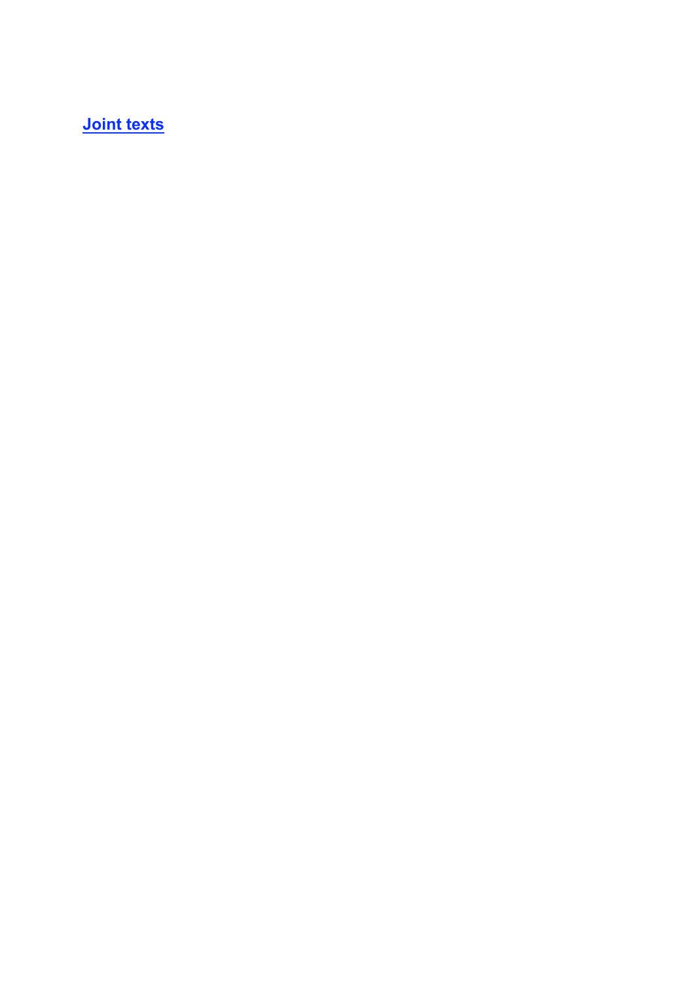**Joint texts**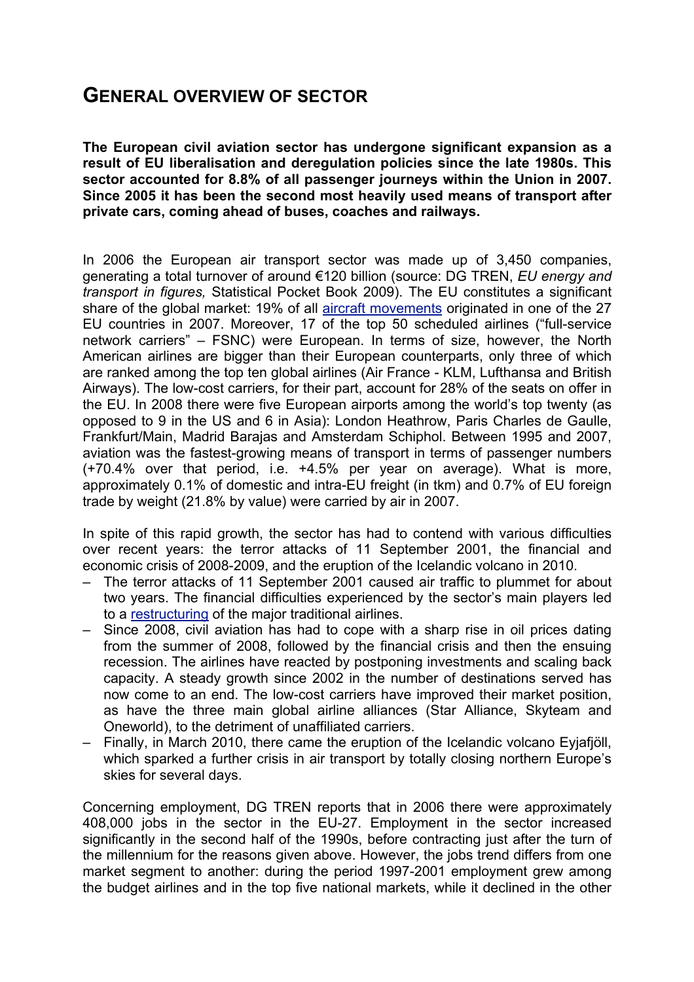## **GENERAL OVERVIEW OF SECTOR**

**The European civil aviation sector has undergone significant expansion as a result of EU liberalisation and deregulation policies since the late 1980s. This sector accounted for 8.8% of all passenger journeys within the Union in 2007. Since 2005 it has been the second most heavily used means of transport after private cars, coming ahead of buses, coaches and railways.**

In 2006 the European air transport sector was made up of 3,450 companies, generating a total turnover of around €120 billion (source: DG TREN, *EU energy and transport in figures,* Statistical Pocket Book 2009). The EU constitutes a significant share of the global market: 19% of all aircraft movements originated in one of the 27 EU countries in 2007. Moreover, 17 of the top 50 scheduled airlines ("full-service network carriers" – FSNC) were European. In terms of size, however, the North American airlines are bigger than their European counterparts, only three of which are ranked among the top ten global airlines (Air France - KLM, Lufthansa and British Airways). The low-cost carriers, for their part, account for 28% of the seats on offer in the EU. In 2008 there were five European airports among the world's top twenty (as opposed to 9 in the US and 6 in Asia): London Heathrow, Paris Charles de Gaulle, Frankfurt/Main, Madrid Barajas and Amsterdam Schiphol. Between 1995 and 2007, aviation was the fastest-growing means of transport in terms of passenger numbers (+70.4% over that period, i.e. +4.5% per year on average). What is more, approximately 0.1% of domestic and intra-EU freight (in tkm) and 0.7% of EU foreign trade by weight (21.8% by value) were carried by air in 2007.

In spite of this rapid growth, the sector has had to contend with various difficulties over recent years: the terror attacks of 11 September 2001, the financial and economic crisis of 2008-2009, and the eruption of the Icelandic volcano in 2010.

- The terror attacks of 11 September 2001 caused air traffic to plummet for about two years. The financial difficulties experienced by the sector's main players led to a restructuring of the major traditional airlines.
- Since 2008, civil aviation has had to cope with a sharp rise in oil prices dating from the summer of 2008, followed by the financial crisis and then the ensuing recession. The airlines have reacted by postponing investments and scaling back capacity. A steady growth since 2002 in the number of destinations served has now come to an end. The low-cost carriers have improved their market position, as have the three main global airline alliances (Star Alliance, Skyteam and Oneworld), to the detriment of unaffiliated carriers.
- Finally, in March 2010, there came the eruption of the Icelandic volcano Eyjafjöll, which sparked a further crisis in air transport by totally closing northern Europe's skies for several days.

Concerning employment, DG TREN reports that in 2006 there were approximately 408,000 jobs in the sector in the EU-27. Employment in the sector increased significantly in the second half of the 1990s, before contracting just after the turn of the millennium for the reasons given above. However, the jobs trend differs from one market segment to another: during the period 1997-2001 employment grew among the budget airlines and in the top five national markets, while it declined in the other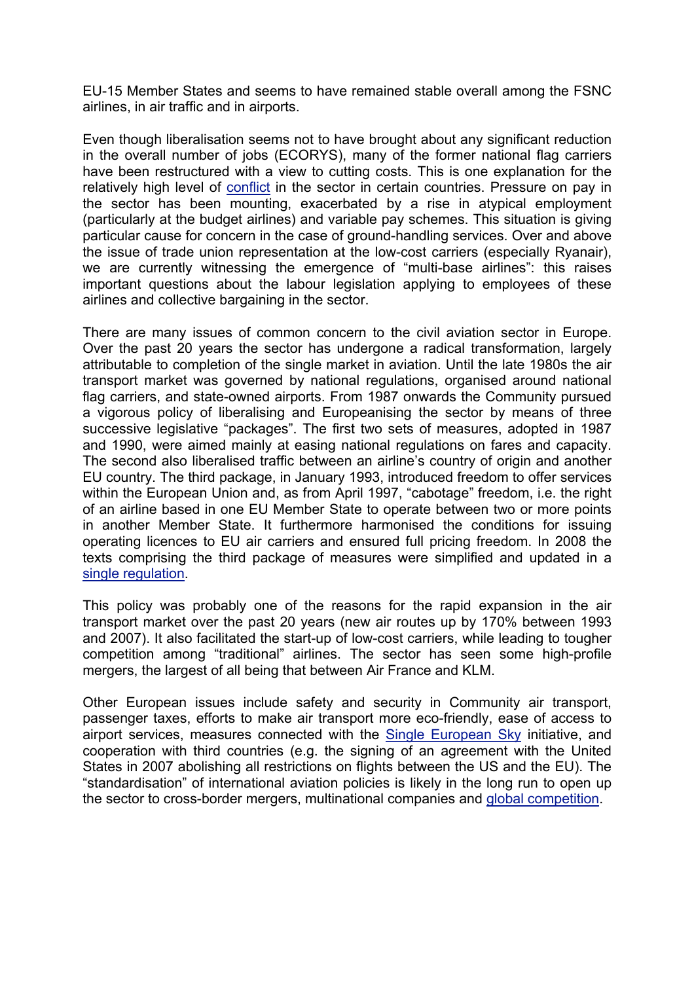EU-15 Member States and seems to have remained stable overall among the FSNC airlines, in air traffic and in airports.

Even though liberalisation seems not to have brought about any significant reduction in the overall number of jobs (ECORYS), many of the former national flag carriers have been restructured with a view to cutting costs. This is one explanation for the relatively high level of conflict in the sector in certain countries. Pressure on pay in the sector has been mounting, exacerbated by a rise in atypical employment (particularly at the budget airlines) and variable pay schemes. This situation is giving particular cause for concern in the case of ground-handling services. Over and above the issue of trade union representation at the low-cost carriers (especially Ryanair), we are currently witnessing the emergence of "multi-base airlines": this raises important questions about the labour legislation applying to employees of these airlines and collective bargaining in the sector.

There are many issues of common concern to the civil aviation sector in Europe. Over the past 20 years the sector has undergone a radical transformation, largely attributable to completion of the single market in aviation. Until the late 1980s the air transport market was governed by national regulations, organised around national flag carriers, and state-owned airports. From 1987 onwards the Community pursued a vigorous policy of liberalising and Europeanising the sector by means of three successive legislative "packages". The first two sets of measures, adopted in 1987 and 1990, were aimed mainly at easing national regulations on fares and capacity. The second also liberalised traffic between an airline's country of origin and another EU country. The third package, in January 1993, introduced freedom to offer services within the European Union and, as from April 1997, "cabotage" freedom, i.e. the right of an airline based in one EU Member State to operate between two or more points in another Member State. It furthermore harmonised the conditions for issuing operating licences to EU air carriers and ensured full pricing freedom. In 2008 the texts comprising the third package of measures were simplified and updated in a single regulation.

This policy was probably one of the reasons for the rapid expansion in the air transport market over the past 20 years (new air routes up by 170% between 1993 and 2007). It also facilitated the start-up of low-cost carriers, while leading to tougher competition among "traditional" airlines. The sector has seen some high-profile mergers, the largest of all being that between Air France and KLM.

Other European issues include safety and security in Community air transport, passenger taxes, efforts to make air transport more eco-friendly, ease of access to airport services, measures connected with the Single European Sky initiative, and cooperation with third countries (e.g. the signing of an agreement with the United States in 2007 abolishing all restrictions on flights between the US and the EU). The "standardisation" of international aviation policies is likely in the long run to open up the sector to cross-border mergers, multinational companies and global competition.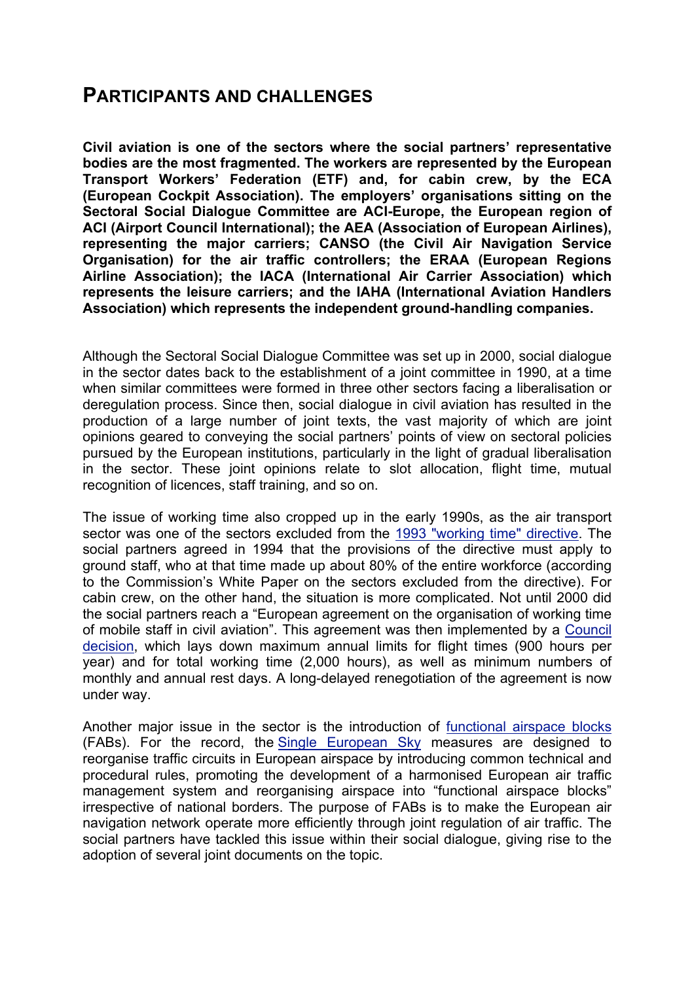#### **PARTICIPANTS AND CHALLENGES**

**Civil aviation is one of the sectors where the social partners' representative bodies are the most fragmented. The workers are represented by the European Transport Workers' Federation (ETF) and, for cabin crew, by the ECA (European Cockpit Association). The employers' organisations sitting on the Sectoral Social Dialogue Committee are ACI-Europe, the European region of ACI (Airport Council International); the AEA (Association of European Airlines), representing the major carriers; CANSO (the Civil Air Navigation Service Organisation) for the air traffic controllers; the ERAA (European Regions Airline Association); the IACA (International Air Carrier Association) which represents the leisure carriers; and the IAHA (International Aviation Handlers Association) which represents the independent ground-handling companies.**

Although the Sectoral Social Dialogue Committee was set up in 2000, social dialogue in the sector dates back to the establishment of a joint committee in 1990, at a time when similar committees were formed in three other sectors facing a liberalisation or deregulation process. Since then, social dialogue in civil aviation has resulted in the production of a large number of joint texts, the vast majority of which are joint opinions geared to conveying the social partners' points of view on sectoral policies pursued by the European institutions, particularly in the light of gradual liberalisation in the sector. These joint opinions relate to slot allocation, flight time, mutual recognition of licences, staff training, and so on.

The issue of working time also cropped up in the early 1990s, as the air transport sector was one of the sectors excluded from the 1993 "working time" directive. The social partners agreed in 1994 that the provisions of the directive must apply to ground staff, who at that time made up about 80% of the entire workforce (according to the Commission's White Paper on the sectors excluded from the directive). For cabin crew, on the other hand, the situation is more complicated. Not until 2000 did the social partners reach a "European agreement on the organisation of working time of mobile staff in civil aviation". This agreement was then implemented by a Council decision, which lays down maximum annual limits for flight times (900 hours per year) and for total working time (2,000 hours), as well as minimum numbers of monthly and annual rest days. A long-delayed renegotiation of the agreement is now under way.

Another major issue in the sector is the introduction of functional airspace blocks (FABs). For the record, the Single European Sky measures are designed to reorganise traffic circuits in European airspace by introducing common technical and procedural rules, promoting the development of a harmonised European air traffic management system and reorganising airspace into "functional airspace blocks" irrespective of national borders. The purpose of FABs is to make the European air navigation network operate more efficiently through joint regulation of air traffic. The social partners have tackled this issue within their social dialogue, giving rise to the adoption of several joint documents on the topic.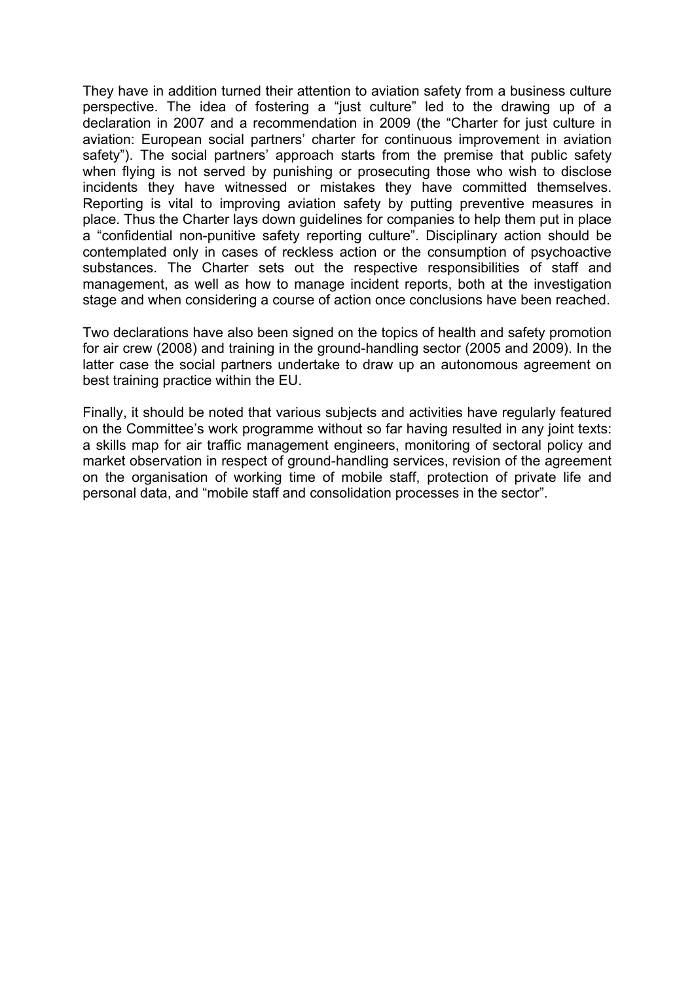They have in addition turned their attention to aviation safety from a business culture perspective. The idea of fostering a "just culture" led to the drawing up of a declaration in 2007 and a recommendation in 2009 (the "Charter for just culture in aviation: European social partners' charter for continuous improvement in aviation safety"). The social partners' approach starts from the premise that public safety when flying is not served by punishing or prosecuting those who wish to disclose incidents they have witnessed or mistakes they have committed themselves. Reporting is vital to improving aviation safety by putting preventive measures in place. Thus the Charter lays down guidelines for companies to help them put in place a "confidential non-punitive safety reporting culture". Disciplinary action should be contemplated only in cases of reckless action or the consumption of psychoactive substances. The Charter sets out the respective responsibilities of staff and management, as well as how to manage incident reports, both at the investigation stage and when considering a course of action once conclusions have been reached.

Two declarations have also been signed on the topics of health and safety promotion for air crew (2008) and training in the ground-handling sector (2005 and 2009). In the latter case the social partners undertake to draw up an autonomous agreement on best training practice within the EU.

Finally, it should be noted that various subjects and activities have regularly featured on the Committee's work programme without so far having resulted in any joint texts: a skills map for air traffic management engineers, monitoring of sectoral policy and market observation in respect of ground-handling services, revision of the agreement on the organisation of working time of mobile staff, protection of private life and personal data, and "mobile staff and consolidation processes in the sector".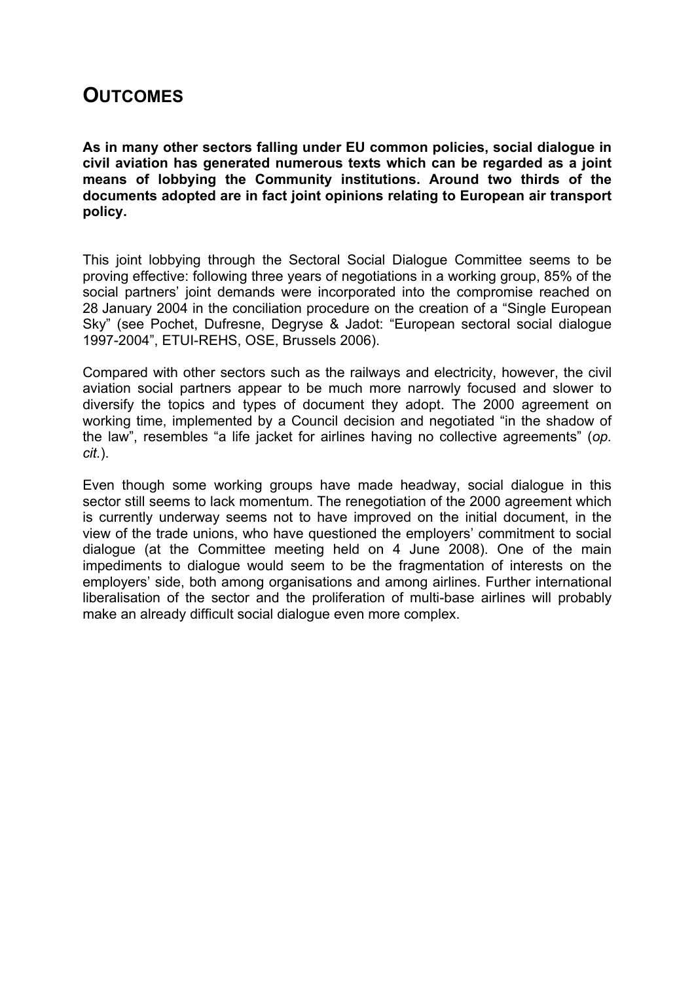### **OUTCOMES**

**As in many other sectors falling under EU common policies, social dialogue in civil aviation has generated numerous texts which can be regarded as a joint means of lobbying the Community institutions. Around two thirds of the documents adopted are in fact joint opinions relating to European air transport policy.**

This joint lobbying through the Sectoral Social Dialogue Committee seems to be proving effective: following three years of negotiations in a working group, 85% of the social partners' joint demands were incorporated into the compromise reached on 28 January 2004 in the conciliation procedure on the creation of a "Single European Sky" (see Pochet, Dufresne, Degryse & Jadot: "European sectoral social dialogue 1997-2004", ETUI-REHS, OSE, Brussels 2006).

Compared with other sectors such as the railways and electricity, however, the civil aviation social partners appear to be much more narrowly focused and slower to diversify the topics and types of document they adopt. The 2000 agreement on working time, implemented by a Council decision and negotiated "in the shadow of the law", resembles "a life jacket for airlines having no collective agreements" (*op. cit.*).

Even though some working groups have made headway, social dialogue in this sector still seems to lack momentum. The renegotiation of the 2000 agreement which is currently underway seems not to have improved on the initial document, in the view of the trade unions, who have questioned the employers' commitment to social dialogue (at the Committee meeting held on 4 June 2008). One of the main impediments to dialogue would seem to be the fragmentation of interests on the employers' side, both among organisations and among airlines. Further international liberalisation of the sector and the proliferation of multi-base airlines will probably make an already difficult social dialogue even more complex.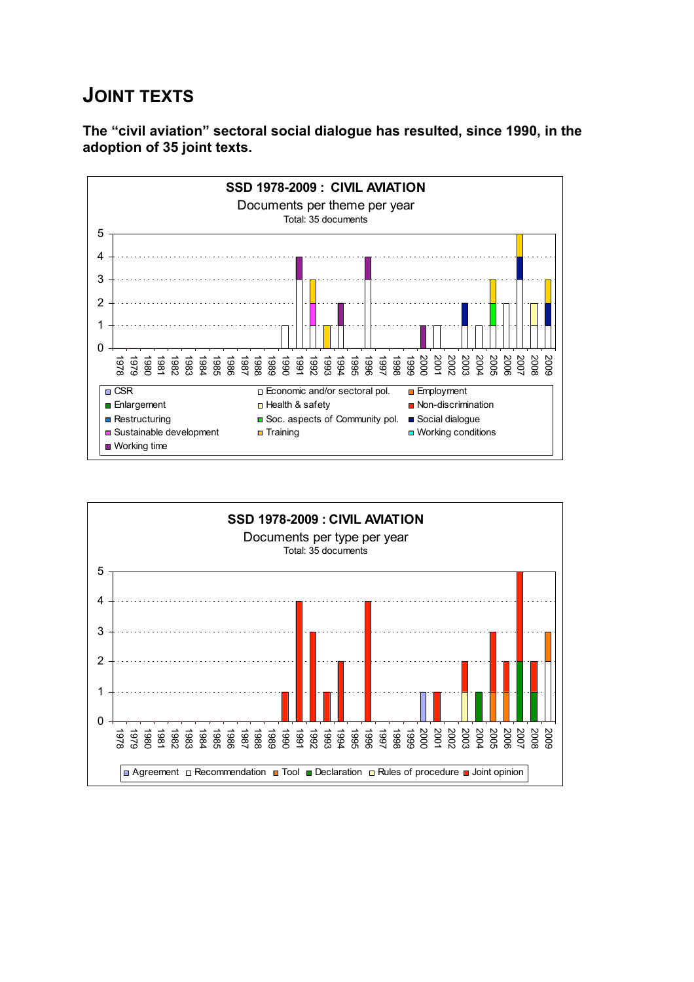## **JOINT TEXTS**

**The "civil aviation" sectoral social dialogue has resulted, since 1990, in the adoption of 35 joint texts.**



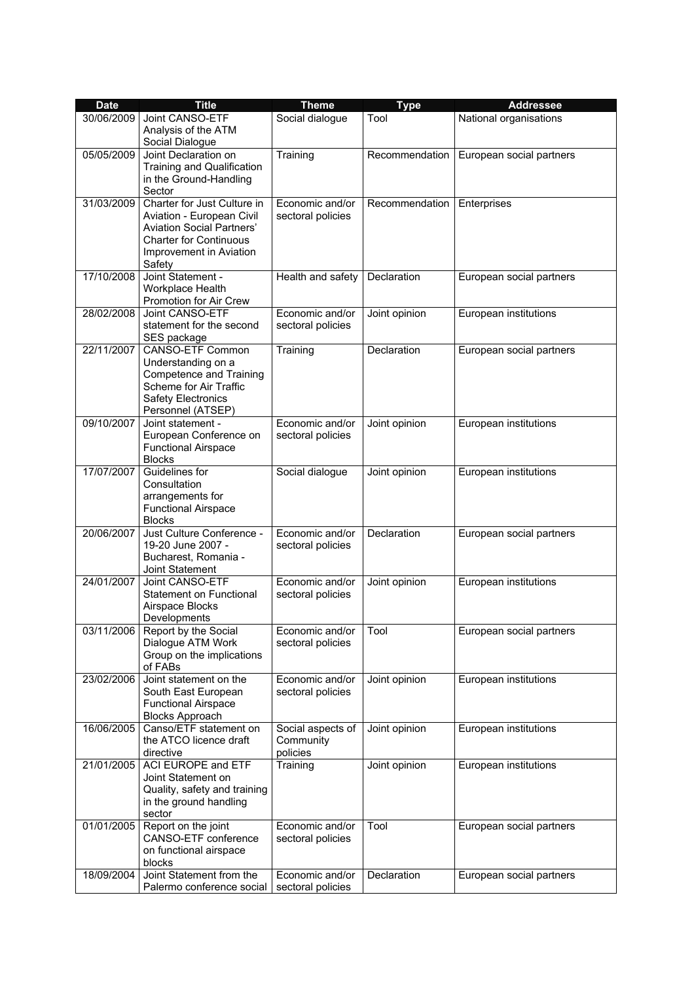| <b>Date</b> | <b>Title</b>                                                                                                                                                       | <b>Theme</b>                               | <b>Type</b>    | <b>Addressee</b>         |
|-------------|--------------------------------------------------------------------------------------------------------------------------------------------------------------------|--------------------------------------------|----------------|--------------------------|
| 30/06/2009  | Joint CANSO-ETF<br>Analysis of the ATM<br>Social Dialogue                                                                                                          | Social dialogue                            | Tool           | National organisations   |
| 05/05/2009  | Joint Declaration on<br>Training and Qualification<br>in the Ground-Handling<br>Sector                                                                             | Training                                   | Recommendation | European social partners |
| 31/03/2009  | Charter for Just Culture in<br>Aviation - European Civil<br><b>Aviation Social Partners'</b><br><b>Charter for Continuous</b><br>Improvement in Aviation<br>Safety | Economic and/or<br>sectoral policies       | Recommendation | Enterprises              |
| 17/10/2008  | Joint Statement -<br>Workplace Health<br>Promotion for Air Crew                                                                                                    | Health and safety                          | Declaration    | European social partners |
| 28/02/2008  | Joint CANSO-ETF<br>statement for the second<br>SES package                                                                                                         | Economic and/or<br>sectoral policies       | Joint opinion  | European institutions    |
| 22/11/2007  | <b>CANSO-ETF Common</b><br>Understanding on a<br><b>Competence and Training</b><br>Scheme for Air Traffic<br><b>Safety Electronics</b><br>Personnel (ATSEP)        | Training                                   | Declaration    | European social partners |
| 09/10/2007  | Joint statement -<br>European Conference on<br><b>Functional Airspace</b><br><b>Blocks</b>                                                                         | Economic and/or<br>sectoral policies       | Joint opinion  | European institutions    |
| 17/07/2007  | Guidelines for<br>Consultation<br>arrangements for<br><b>Functional Airspace</b><br><b>Blocks</b>                                                                  | Social dialogue                            | Joint opinion  | European institutions    |
| 20/06/2007  | Just Culture Conference -<br>19-20 June 2007 -<br>Bucharest, Romania -<br>Joint Statement                                                                          | Economic and/or<br>sectoral policies       | Declaration    | European social partners |
| 24/01/2007  | Joint CANSO-ETF<br>Statement on Functional<br>Airspace Blocks<br>Developments                                                                                      | Economic and/or<br>sectoral policies       | Joint opinion  | European institutions    |
| 03/11/2006  | Report by the Social<br>Dialogue ATM Work<br>Group on the implications<br>of FABs                                                                                  | Economic and/or<br>sectoral policies       | Tool           | European social partners |
| 23/02/2006  | Joint statement on the<br>South East European<br><b>Functional Airspace</b><br><b>Blocks Approach</b>                                                              | Economic and/or<br>sectoral policies       | Joint opinion  | European institutions    |
| 16/06/2005  | Canso/ETF statement on<br>the ATCO licence draft<br>directive                                                                                                      | Social aspects of<br>Community<br>policies | Joint opinion  | European institutions    |
| 21/01/2005  | <b>ACI EUROPE and ETF</b><br>Joint Statement on<br>Quality, safety and training<br>in the ground handling<br>sector                                                | Training                                   | Joint opinion  | European institutions    |
| 01/01/2005  | Report on the joint<br>CANSO-ETF conference<br>on functional airspace<br>blocks                                                                                    | Economic and/or<br>sectoral policies       | Tool           | European social partners |
| 18/09/2004  | Joint Statement from the<br>Palermo conference social                                                                                                              | Economic and/or<br>sectoral policies       | Declaration    | European social partners |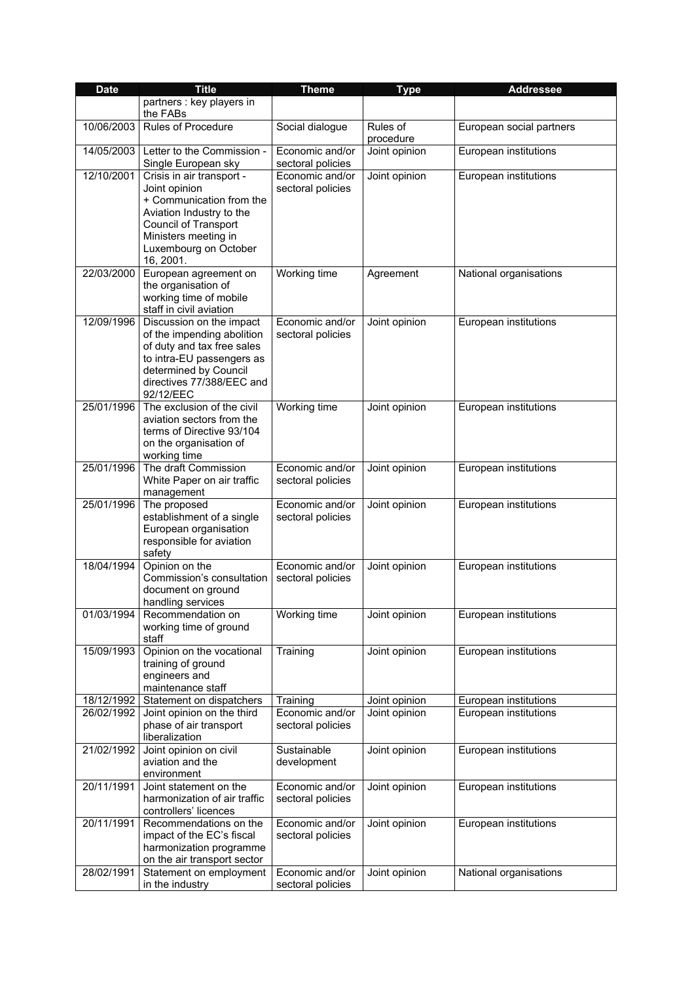| <b>Date</b> | <b>Title</b>                                                                                                                                                                             | <b>Theme</b>                         | <b>Type</b>           | <b>Addressee</b>         |
|-------------|------------------------------------------------------------------------------------------------------------------------------------------------------------------------------------------|--------------------------------------|-----------------------|--------------------------|
|             | partners : key players in<br>the FABs                                                                                                                                                    |                                      |                       |                          |
| 10/06/2003  | <b>Rules of Procedure</b>                                                                                                                                                                | Social dialogue                      | Rules of<br>procedure | European social partners |
| 14/05/2003  | Letter to the Commission -<br>Single European sky                                                                                                                                        | Economic and/or<br>sectoral policies | Joint opinion         | European institutions    |
| 12/10/2001  | Crisis in air transport -<br>Joint opinion<br>+ Communication from the<br>Aviation Industry to the<br>Council of Transport<br>Ministers meeting in<br>Luxembourg on October<br>16, 2001. | Economic and/or<br>sectoral policies | Joint opinion         | European institutions    |
| 22/03/2000  | European agreement on<br>the organisation of<br>working time of mobile<br>staff in civil aviation                                                                                        | Working time                         | Agreement             | National organisations   |
| 12/09/1996  | Discussion on the impact<br>of the impending abolition<br>of duty and tax free sales<br>to intra-EU passengers as<br>determined by Council<br>directives 77/388/EEC and<br>92/12/EEC     | Economic and/or<br>sectoral policies | Joint opinion         | European institutions    |
| 25/01/1996  | The exclusion of the civil<br>aviation sectors from the<br>terms of Directive 93/104<br>on the organisation of<br>working time                                                           | Working time                         | Joint opinion         | European institutions    |
| 25/01/1996  | The draft Commission<br>White Paper on air traffic<br>management                                                                                                                         | Economic and/or<br>sectoral policies | Joint opinion         | European institutions    |
| 25/01/1996  | The proposed<br>establishment of a single<br>European organisation<br>responsible for aviation<br>safety                                                                                 | Economic and/or<br>sectoral policies | Joint opinion         | European institutions    |
| 18/04/1994  | Opinion on the<br>Commission's consultation<br>document on ground<br>handling services                                                                                                   | Economic and/or<br>sectoral policies | Joint opinion         | European institutions    |
| 01/03/1994  | Recommendation on<br>working time of ground<br>staff                                                                                                                                     | Working time                         | Joint opinion         | European institutions    |
| 15/09/1993  | Opinion on the vocational<br>training of ground<br>engineers and<br>maintenance staff                                                                                                    | Training                             | Joint opinion         | European institutions    |
| 18/12/1992  | Statement on dispatchers                                                                                                                                                                 | Training                             | Joint opinion         | European institutions    |
| 26/02/1992  | Joint opinion on the third<br>phase of air transport<br>liberalization                                                                                                                   | Economic and/or<br>sectoral policies | Joint opinion         | European institutions    |
| 21/02/1992  | Joint opinion on civil<br>aviation and the<br>environment                                                                                                                                | Sustainable<br>development           | Joint opinion         | European institutions    |
| 20/11/1991  | Joint statement on the<br>harmonization of air traffic<br>controllers' licences                                                                                                          | Economic and/or<br>sectoral policies | Joint opinion         | European institutions    |
| 20/11/1991  | Recommendations on the<br>impact of the EC's fiscal<br>harmonization programme<br>on the air transport sector                                                                            | Economic and/or<br>sectoral policies | Joint opinion         | European institutions    |
| 28/02/1991  | Statement on employment<br>in the industry                                                                                                                                               | Economic and/or<br>sectoral policies | Joint opinion         | National organisations   |